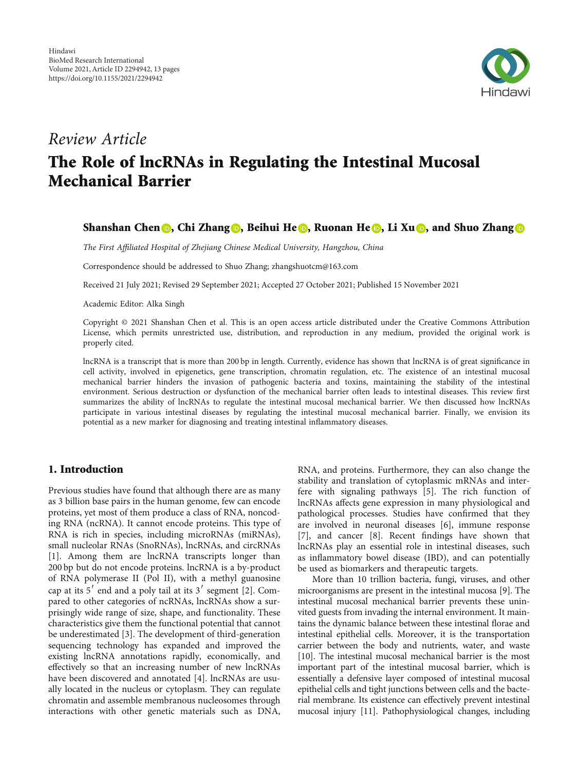

# Review Article The Role of lncRNAs in Regulating the Intestinal Mucosal Mechanical Barrier

# Shanshan Chen **D**[,](https://orcid.org/0000-0002-4167-885X) Chi Zhang **D**, Beihui He **D**, Ruonan He **D**, Li Xu **D**, and Shuo Zhang **D**

The First Affiliated Hospital of Zhejiang Chinese Medical University, Hangzhou, China

Correspondence should be addressed to Shuo Zhang; zhangshuotcm@163.com

Received 21 July 2021; Revised 29 September 2021; Accepted 27 October 2021; Published 15 November 2021

Academic Editor: Alka Singh

Copyright © 2021 Shanshan Chen et al. This is an open access article distributed under the [Creative Commons Attribution](https://creativecommons.org/licenses/by/4.0/) [License,](https://creativecommons.org/licenses/by/4.0/) which permits unrestricted use, distribution, and reproduction in any medium, provided the original work is properly cited.

lncRNA is a transcript that is more than 200 bp in length. Currently, evidence has shown that lncRNA is of great significance in cell activity, involved in epigenetics, gene transcription, chromatin regulation, etc. The existence of an intestinal mucosal mechanical barrier hinders the invasion of pathogenic bacteria and toxins, maintaining the stability of the intestinal environment. Serious destruction or dysfunction of the mechanical barrier often leads to intestinal diseases. This review first summarizes the ability of lncRNAs to regulate the intestinal mucosal mechanical barrier. We then discussed how lncRNAs participate in various intestinal diseases by regulating the intestinal mucosal mechanical barrier. Finally, we envision its potential as a new marker for diagnosing and treating intestinal inflammatory diseases.

# 1. Introduction

Previous studies have found that although there are as many as 3 billion base pairs in the human genome, few can encode proteins, yet most of them produce a class of RNA, noncoding RNA (ncRNA). It cannot encode proteins. This type of RNA is rich in species, including microRNAs (miRNAs), small nucleolar RNAs (SnoRNAs), lncRNAs, and circRNAs [\[1](#page-8-0)]. Among them are lncRNA transcripts longer than 200 bp but do not encode proteins. lncRNA is a by-product of RNA polymerase II (Pol II), with a methyl guanosine cap at its  $5'$  end and a poly tail at its  $3'$  segment [\[2](#page-8-0)]. Compared to other categories of ncRNAs, lncRNAs show a surprisingly wide range of size, shape, and functionality. These characteristics give them the functional potential that cannot be underestimated [[3](#page-8-0)]. The development of third-generation sequencing technology has expanded and improved the existing lncRNA annotations rapidly, economically, and effectively so that an increasing number of new lncRNAs have been discovered and annotated [[4](#page-8-0)]. lncRNAs are usually located in the nucleus or cytoplasm. They can regulate chromatin and assemble membranous nucleosomes through interactions with other genetic materials such as DNA,

RNA, and proteins. Furthermore, they can also change the stability and translation of cytoplasmic mRNAs and interfere with signaling pathways [\[5](#page-8-0)]. The rich function of lncRNAs affects gene expression in many physiological and pathological processes. Studies have confirmed that they are involved in neuronal diseases [\[6](#page-8-0)], immune response [\[7](#page-8-0)], and cancer [\[8\]](#page-8-0). Recent findings have shown that lncRNAs play an essential role in intestinal diseases, such as inflammatory bowel disease (IBD), and can potentially be used as biomarkers and therapeutic targets.

More than 10 trillion bacteria, fungi, viruses, and other microorganisms are present in the intestinal mucosa [[9](#page-8-0)]. The intestinal mucosal mechanical barrier prevents these uninvited guests from invading the internal environment. It maintains the dynamic balance between these intestinal florae and intestinal epithelial cells. Moreover, it is the transportation carrier between the body and nutrients, water, and waste [\[10\]](#page-8-0). The intestinal mucosal mechanical barrier is the most important part of the intestinal mucosal barrier, which is essentially a defensive layer composed of intestinal mucosal epithelial cells and tight junctions between cells and the bacterial membrane. Its existence can effectively prevent intestinal mucosal injury [\[11\]](#page-9-0). Pathophysiological changes, including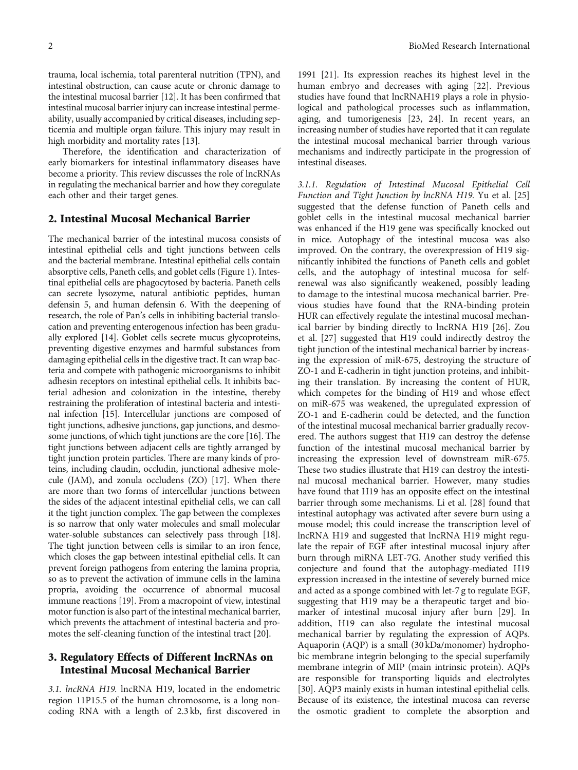trauma, local ischemia, total parenteral nutrition (TPN), and intestinal obstruction, can cause acute or chronic damage to the intestinal mucosal barrier [\[12\]](#page-9-0). It has been confirmed that intestinal mucosal barrier injury can increase intestinal permeability, usually accompanied by critical diseases, including septicemia and multiple organ failure. This injury may result in high morbidity and mortality rates [[13](#page-9-0)].

Therefore, the identification and characterization of early biomarkers for intestinal inflammatory diseases have become a priority. This review discusses the role of lncRNAs in regulating the mechanical barrier and how they coregulate each other and their target genes.

#### 2. Intestinal Mucosal Mechanical Barrier

The mechanical barrier of the intestinal mucosa consists of intestinal epithelial cells and tight junctions between cells and the bacterial membrane. Intestinal epithelial cells contain absorptive cells, Paneth cells, and goblet cells (Figure [1\)](#page-2-0). Intestinal epithelial cells are phagocytosed by bacteria. Paneth cells can secrete lysozyme, natural antibiotic peptides, human defensin 5, and human defensin 6. With the deepening of research, the role of Pan's cells in inhibiting bacterial translocation and preventing enterogenous infection has been gradually explored [\[14\]](#page-9-0). Goblet cells secrete mucus glycoproteins, preventing digestive enzymes and harmful substances from damaging epithelial cells in the digestive tract. It can wrap bacteria and compete with pathogenic microorganisms to inhibit adhesin receptors on intestinal epithelial cells. It inhibits bacterial adhesion and colonization in the intestine, thereby restraining the proliferation of intestinal bacteria and intestinal infection [\[15\]](#page-9-0). Intercellular junctions are composed of tight junctions, adhesive junctions, gap junctions, and desmosome junctions, of which tight junctions are the core [[16\]](#page-9-0). The tight junctions between adjacent cells are tightly arranged by tight junction protein particles. There are many kinds of proteins, including claudin, occludin, junctional adhesive molecule (JAM), and zonula occludens (ZO) [\[17](#page-9-0)]. When there are more than two forms of intercellular junctions between the sides of the adjacent intestinal epithelial cells, we can call it the tight junction complex. The gap between the complexes is so narrow that only water molecules and small molecular water-soluble substances can selectively pass through [\[18](#page-9-0)]. The tight junction between cells is similar to an iron fence, which closes the gap between intestinal epithelial cells. It can prevent foreign pathogens from entering the lamina propria, so as to prevent the activation of immune cells in the lamina propria, avoiding the occurrence of abnormal mucosal immune reactions [[19\]](#page-9-0). From a macropoint of view, intestinal motor function is also part of the intestinal mechanical barrier, which prevents the attachment of intestinal bacteria and promotes the self-cleaning function of the intestinal tract [\[20\]](#page-9-0).

#### 3. Regulatory Effects of Different lncRNAs on Intestinal Mucosal Mechanical Barrier

3.1. lncRNA H19. lncRNA H19, located in the endometric region 11P15.5 of the human chromosome, is a long noncoding RNA with a length of 2.3 kb, first discovered in

1991 [[21](#page-9-0)]. Its expression reaches its highest level in the human embryo and decreases with aging [[22\]](#page-9-0). Previous studies have found that lncRNAH19 plays a role in physiological and pathological processes such as inflammation, aging, and tumorigenesis [[23](#page-9-0), [24\]](#page-9-0). In recent years, an increasing number of studies have reported that it can regulate the intestinal mucosal mechanical barrier through various mechanisms and indirectly participate in the progression of intestinal diseases.

3.1.1. Regulation of Intestinal Mucosal Epithelial Cell Function and Tight Junction by lncRNA H19. Yu et al. [[25\]](#page-9-0) suggested that the defense function of Paneth cells and goblet cells in the intestinal mucosal mechanical barrier was enhanced if the H19 gene was specifically knocked out in mice. Autophagy of the intestinal mucosa was also improved. On the contrary, the overexpression of H19 significantly inhibited the functions of Paneth cells and goblet cells, and the autophagy of intestinal mucosa for selfrenewal was also significantly weakened, possibly leading to damage to the intestinal mucosa mechanical barrier. Previous studies have found that the RNA-binding protein HUR can effectively regulate the intestinal mucosal mechanical barrier by binding directly to lncRNA H19 [\[26](#page-9-0)]. Zou et al. [[27](#page-9-0)] suggested that H19 could indirectly destroy the tight junction of the intestinal mechanical barrier by increasing the expression of miR-675, destroying the structure of ZO-1 and E-cadherin in tight junction proteins, and inhibiting their translation. By increasing the content of HUR, which competes for the binding of H19 and whose effect on miR-675 was weakened, the upregulated expression of ZO-1 and E-cadherin could be detected, and the function of the intestinal mucosal mechanical barrier gradually recovered. The authors suggest that H19 can destroy the defense function of the intestinal mucosal mechanical barrier by increasing the expression level of downstream miR-675. These two studies illustrate that H19 can destroy the intestinal mucosal mechanical barrier. However, many studies have found that H19 has an opposite effect on the intestinal barrier through some mechanisms. Li et al. [\[28\]](#page-9-0) found that intestinal autophagy was activated after severe burn using a mouse model; this could increase the transcription level of lncRNA H19 and suggested that lncRNA H19 might regulate the repair of EGF after intestinal mucosal injury after burn through miRNA LET-7G. Another study verified this conjecture and found that the autophagy-mediated H19 expression increased in the intestine of severely burned mice and acted as a sponge combined with let-7 g to regulate EGF, suggesting that H19 may be a therapeutic target and biomarker of intestinal mucosal injury after burn [\[29\]](#page-9-0). In addition, H19 can also regulate the intestinal mucosal mechanical barrier by regulating the expression of AQPs. Aquaporin (AQP) is a small (30 kDa/monomer) hydrophobic membrane integrin belonging to the special superfamily membrane integrin of MIP (main intrinsic protein). AQPs are responsible for transporting liquids and electrolytes [\[30\]](#page-9-0). AQP3 mainly exists in human intestinal epithelial cells. Because of its existence, the intestinal mucosa can reverse the osmotic gradient to complete the absorption and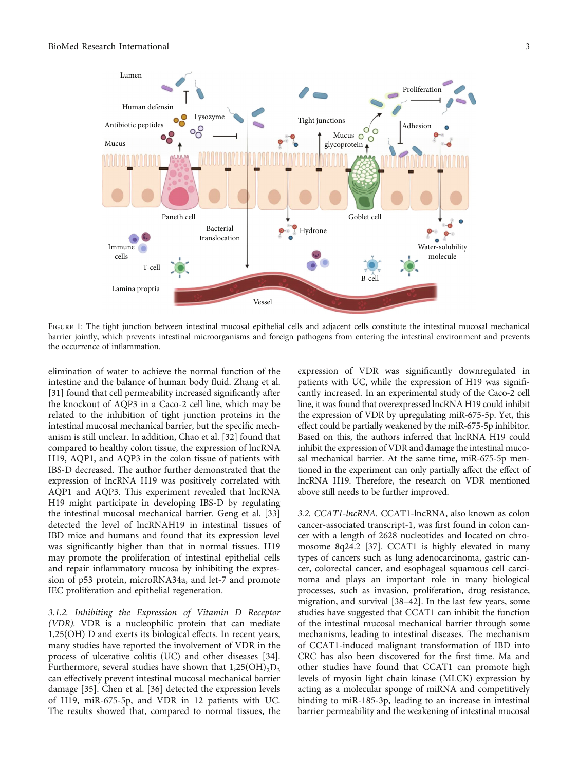<span id="page-2-0"></span>

Figure 1: The tight junction between intestinal mucosal epithelial cells and adjacent cells constitute the intestinal mucosal mechanical barrier jointly, which prevents intestinal microorganisms and foreign pathogens from entering the intestinal environment and prevents the occurrence of inflammation.

elimination of water to achieve the normal function of the intestine and the balance of human body fluid. Zhang et al. [\[31](#page-9-0)] found that cell permeability increased significantly after the knockout of AQP3 in a Caco-2 cell line, which may be related to the inhibition of tight junction proteins in the intestinal mucosal mechanical barrier, but the specific mechanism is still unclear. In addition, Chao et al. [[32](#page-9-0)] found that compared to healthy colon tissue, the expression of lncRNA H19, AQP1, and AQP3 in the colon tissue of patients with IBS-D decreased. The author further demonstrated that the expression of lncRNA H19 was positively correlated with AQP1 and AQP3. This experiment revealed that lncRNA H19 might participate in developing IBS-D by regulating the intestinal mucosal mechanical barrier. Geng et al. [[33\]](#page-9-0) detected the level of lncRNAH19 in intestinal tissues of IBD mice and humans and found that its expression level was significantly higher than that in normal tissues. H19 may promote the proliferation of intestinal epithelial cells and repair inflammatory mucosa by inhibiting the expression of p53 protein, microRNA34a, and let-7 and promote IEC proliferation and epithelial regeneration.

3.1.2. Inhibiting the Expression of Vitamin D Receptor (VDR). VDR is a nucleophilic protein that can mediate 1,25(OH) D and exerts its biological effects. In recent years, many studies have reported the involvement of VDR in the process of ulcerative colitis (UC) and other diseases [[34](#page-9-0)]. Furthermore, several studies have shown that  $1,25(OH)_{2}D_{3}$ can effectively prevent intestinal mucosal mechanical barrier damage [\[35\]](#page-9-0). Chen et al. [\[36\]](#page-9-0) detected the expression levels of H19, miR-675-5p, and VDR in 12 patients with UC. The results showed that, compared to normal tissues, the expression of VDR was significantly downregulated in patients with UC, while the expression of H19 was significantly increased. In an experimental study of the Caco-2 cell line, it was found that overexpressed lncRNA H19 could inhibit the expression of VDR by upregulating miR-675-5p. Yet, this effect could be partially weakened by the miR-675-5p inhibitor. Based on this, the authors inferred that lncRNA H19 could inhibit the expression of VDR and damage the intestinal mucosal mechanical barrier. At the same time, miR-675-5p mentioned in the experiment can only partially affect the effect of lncRNA H19. Therefore, the research on VDR mentioned above still needs to be further improved.

3.2. CCAT1-lncRNA. CCAT1-lncRNA, also known as colon cancer-associated transcript-1, was first found in colon cancer with a length of 2628 nucleotides and located on chromosome 8q24.2 [\[37\]](#page-9-0). CCAT1 is highly elevated in many types of cancers such as lung adenocarcinoma, gastric cancer, colorectal cancer, and esophageal squamous cell carcinoma and plays an important role in many biological processes, such as invasion, proliferation, drug resistance, migration, and survival [\[38](#page-9-0)–[42\]](#page-9-0). In the last few years, some studies have suggested that CCAT1 can inhibit the function of the intestinal mucosal mechanical barrier through some mechanisms, leading to intestinal diseases. The mechanism of CCAT1-induced malignant transformation of IBD into CRC has also been discovered for the first time. Ma and other studies have found that CCAT1 can promote high levels of myosin light chain kinase (MLCK) expression by acting as a molecular sponge of miRNA and competitively binding to miR-185-3p, leading to an increase in intestinal barrier permeability and the weakening of intestinal mucosal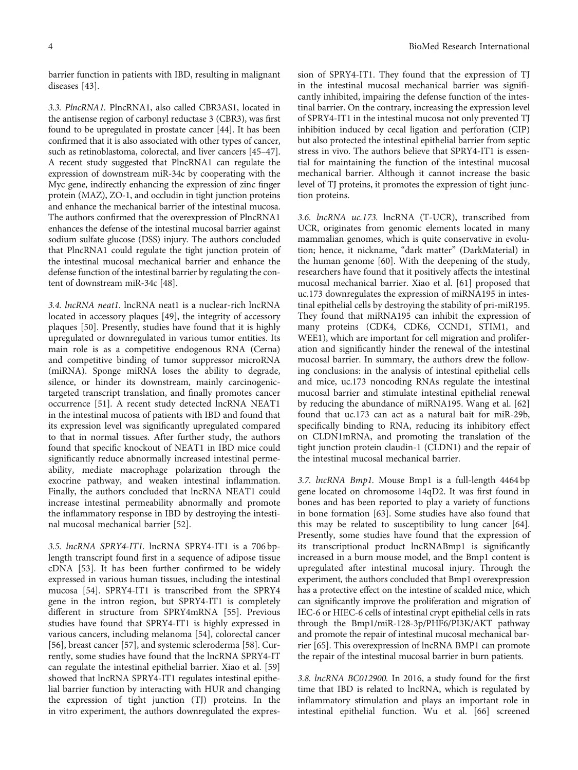barrier function in patients with IBD, resulting in malignant diseases [[43\]](#page-10-0).

3.3. PlncRNA1. PlncRNA1, also called CBR3AS1, located in the antisense region of carbonyl reductase 3 (CBR3), was first found to be upregulated in prostate cancer [\[44\]](#page-10-0). It has been confirmed that it is also associated with other types of cancer, such as retinoblastoma, colorectal, and liver cancers [[45](#page-10-0)–[47](#page-10-0)]. A recent study suggested that PlncRNA1 can regulate the expression of downstream miR-34c by cooperating with the Myc gene, indirectly enhancing the expression of zinc finger protein (MAZ), ZO-1, and occludin in tight junction proteins and enhance the mechanical barrier of the intestinal mucosa. The authors confirmed that the overexpression of PlncRNA1 enhances the defense of the intestinal mucosal barrier against sodium sulfate glucose (DSS) injury. The authors concluded that PlncRNA1 could regulate the tight junction protein of the intestinal mucosal mechanical barrier and enhance the defense function of the intestinal barrier by regulating the content of downstream miR-34c [\[48\]](#page-10-0).

3.4. lncRNA neat1. lncRNA neat1 is a nuclear-rich lncRNA located in accessory plaques [[49\]](#page-10-0), the integrity of accessory plaques [\[50\]](#page-10-0). Presently, studies have found that it is highly upregulated or downregulated in various tumor entities. Its main role is as a competitive endogenous RNA (Cerna) and competitive binding of tumor suppressor microRNA (miRNA). Sponge miRNA loses the ability to degrade, silence, or hinder its downstream, mainly carcinogenictargeted transcript translation, and finally promotes cancer occurrence [\[51\]](#page-10-0). A recent study detected lncRNA NEAT1 in the intestinal mucosa of patients with IBD and found that its expression level was significantly upregulated compared to that in normal tissues. After further study, the authors found that specific knockout of NEAT1 in IBD mice could significantly reduce abnormally increased intestinal permeability, mediate macrophage polarization through the exocrine pathway, and weaken intestinal inflammation. Finally, the authors concluded that lncRNA NEAT1 could increase intestinal permeability abnormally and promote the inflammatory response in IBD by destroying the intestinal mucosal mechanical barrier [\[52\]](#page-10-0).

3.5. lncRNA SPRY4-IT1. lncRNA SPRY4-IT1 is a 706 bplength transcript found first in a sequence of adipose tissue cDNA [\[53\]](#page-10-0). It has been further confirmed to be widely expressed in various human tissues, including the intestinal mucosa [\[54\]](#page-10-0). SPRY4-IT1 is transcribed from the SPRY4 gene in the intron region, but SPRY4-IT1 is completely different in structure from SPRY4mRNA [[55](#page-10-0)]. Previous studies have found that SPRY4-IT1 is highly expressed in various cancers, including melanoma [[54](#page-10-0)], colorectal cancer [\[56](#page-10-0)], breast cancer [[57\]](#page-10-0), and systemic scleroderma [\[58](#page-10-0)]. Currently, some studies have found that the lncRNA SPRY4-IT can regulate the intestinal epithelial barrier. Xiao et al. [\[59\]](#page-10-0) showed that lncRNA SPRY4-IT1 regulates intestinal epithelial barrier function by interacting with HUR and changing the expression of tight junction (TJ) proteins. In the in vitro experiment, the authors downregulated the expres-

sion of SPRY4-IT1. They found that the expression of TJ in the intestinal mucosal mechanical barrier was significantly inhibited, impairing the defense function of the intestinal barrier. On the contrary, increasing the expression level of SPRY4-IT1 in the intestinal mucosa not only prevented TJ inhibition induced by cecal ligation and perforation (CIP) but also protected the intestinal epithelial barrier from septic stress in vivo. The authors believe that SPRY4-IT1 is essential for maintaining the function of the intestinal mucosal mechanical barrier. Although it cannot increase the basic level of TJ proteins, it promotes the expression of tight junction proteins.

3.6. lncRNA uc.173. lncRNA (T-UCR), transcribed from UCR, originates from genomic elements located in many mammalian genomes, which is quite conservative in evolution; hence, it nickname, "dark matter" (DarkMaterial) in the human genome [\[60\]](#page-10-0). With the deepening of the study, researchers have found that it positively affects the intestinal mucosal mechanical barrier. Xiao et al. [[61](#page-10-0)] proposed that uc.173 downregulates the expression of miRNA195 in intestinal epithelial cells by destroying the stability of pri-miR195. They found that miRNA195 can inhibit the expression of many proteins (CDK4, CDK6, CCND1, STIM1, and WEE1), which are important for cell migration and proliferation and significantly hinder the renewal of the intestinal mucosal barrier. In summary, the authors drew the following conclusions: in the analysis of intestinal epithelial cells and mice, uc.173 noncoding RNAs regulate the intestinal mucosal barrier and stimulate intestinal epithelial renewal by reducing the abundance of miRNA195. Wang et al. [[62\]](#page-10-0) found that uc.173 can act as a natural bait for miR-29b, specifically binding to RNA, reducing its inhibitory effect on CLDN1mRNA, and promoting the translation of the tight junction protein claudin-1 (CLDN1) and the repair of the intestinal mucosal mechanical barrier.

3.7. lncRNA Bmp1. Mouse Bmp1 is a full-length 4464 bp gene located on chromosome 14qD2. It was first found in bones and has been reported to play a variety of functions in bone formation [[63](#page-10-0)]. Some studies have also found that this may be related to susceptibility to lung cancer [[64](#page-10-0)]. Presently, some studies have found that the expression of its transcriptional product lncRNABmp1 is significantly increased in a burn mouse model, and the Bmp1 content is upregulated after intestinal mucosal injury. Through the experiment, the authors concluded that Bmp1 overexpression has a protective effect on the intestine of scalded mice, which can significantly improve the proliferation and migration of IEC-6 or HIEC-6 cells of intestinal crypt epithelial cells in rats through the Bmp1/miR-128-3p/PHF6/PI3K/AKT pathway and promote the repair of intestinal mucosal mechanical barrier [[65](#page-10-0)]. This overexpression of lncRNA BMP1 can promote the repair of the intestinal mucosal barrier in burn patients.

3.8. lncRNA BC012900. In 2016, a study found for the first time that IBD is related to lncRNA, which is regulated by inflammatory stimulation and plays an important role in intestinal epithelial function. Wu et al. [\[66\]](#page-10-0) screened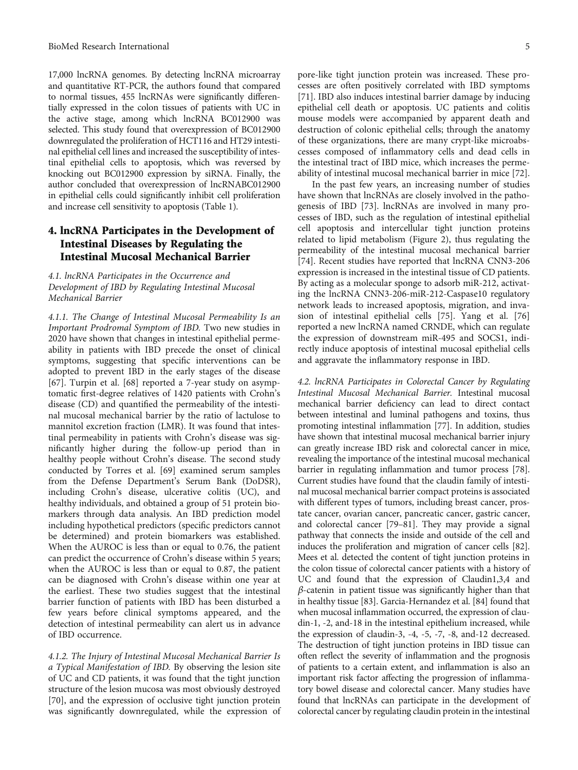17,000 lncRNA genomes. By detecting lncRNA microarray and quantitative RT-PCR, the authors found that compared to normal tissues, 455 lncRNAs were significantly differentially expressed in the colon tissues of patients with UC in the active stage, among which lncRNA BC012900 was selected. This study found that overexpression of BC012900 downregulated the proliferation of HCT116 and HT29 intestinal epithelial cell lines and increased the susceptibility of intestinal epithelial cells to apoptosis, which was reversed by knocking out BC012900 expression by siRNA. Finally, the author concluded that overexpression of lncRNABC012900 in epithelial cells could significantly inhibit cell proliferation and increase cell sensitivity to apoptosis (Table [1\)](#page-5-0).

# 4. lncRNA Participates in the Development of Intestinal Diseases by Regulating the Intestinal Mucosal Mechanical Barrier

4.1. lncRNA Participates in the Occurrence and Development of IBD by Regulating Intestinal Mucosal Mechanical Barrier

4.1.1. The Change of Intestinal Mucosal Permeability Is an Important Prodromal Symptom of IBD. Two new studies in 2020 have shown that changes in intestinal epithelial permeability in patients with IBD precede the onset of clinical symptoms, suggesting that specific interventions can be adopted to prevent IBD in the early stages of the disease [\[67](#page-10-0)]. Turpin et al. [\[68\]](#page-10-0) reported a 7-year study on asymptomatic first-degree relatives of 1420 patients with Crohn's disease (CD) and quantified the permeability of the intestinal mucosal mechanical barrier by the ratio of lactulose to mannitol excretion fraction (LMR). It was found that intestinal permeability in patients with Crohn's disease was significantly higher during the follow-up period than in healthy people without Crohn's disease. The second study conducted by Torres et al. [\[69\]](#page-10-0) examined serum samples from the Defense Department's Serum Bank (DoDSR), including Crohn's disease, ulcerative colitis (UC), and healthy individuals, and obtained a group of 51 protein biomarkers through data analysis. An IBD prediction model including hypothetical predictors (specific predictors cannot be determined) and protein biomarkers was established. When the AUROC is less than or equal to 0.76, the patient can predict the occurrence of Crohn's disease within 5 years; when the AUROC is less than or equal to 0.87, the patient can be diagnosed with Crohn's disease within one year at the earliest. These two studies suggest that the intestinal barrier function of patients with IBD has been disturbed a few years before clinical symptoms appeared, and the detection of intestinal permeability can alert us in advance of IBD occurrence.

4.1.2. The Injury of Intestinal Mucosal Mechanical Barrier Is a Typical Manifestation of IBD. By observing the lesion site of UC and CD patients, it was found that the tight junction structure of the lesion mucosa was most obviously destroyed [\[70](#page-10-0)], and the expression of occlusive tight junction protein was significantly downregulated, while the expression of

pore-like tight junction protein was increased. These processes are often positively correlated with IBD symptoms [\[71\]](#page-10-0). IBD also induces intestinal barrier damage by inducing epithelial cell death or apoptosis. UC patients and colitis mouse models were accompanied by apparent death and destruction of colonic epithelial cells; through the anatomy of these organizations, there are many crypt-like microabscesses composed of inflammatory cells and dead cells in the intestinal tract of IBD mice, which increases the perme-

ability of intestinal mucosal mechanical barrier in mice [[72](#page-11-0)]. In the past few years, an increasing number of studies have shown that lncRNAs are closely involved in the pathogenesis of IBD [\[73\]](#page-11-0). lncRNAs are involved in many processes of IBD, such as the regulation of intestinal epithelial cell apoptosis and intercellular tight junction proteins related to lipid metabolism (Figure [2\)](#page-6-0), thus regulating the permeability of the intestinal mucosal mechanical barrier [\[74\]](#page-11-0). Recent studies have reported that lncRNA CNN3-206 expression is increased in the intestinal tissue of CD patients. By acting as a molecular sponge to adsorb miR-212, activating the lncRNA CNN3-206-miR-212-Caspase10 regulatory network leads to increased apoptosis, migration, and invasion of intestinal epithelial cells [\[75\]](#page-11-0). Yang et al. [[76\]](#page-11-0) reported a new lncRNA named CRNDE, which can regulate the expression of downstream miR-495 and SOCS1, indirectly induce apoptosis of intestinal mucosal epithelial cells and aggravate the inflammatory response in IBD.

4.2. lncRNA Participates in Colorectal Cancer by Regulating Intestinal Mucosal Mechanical Barrier. Intestinal mucosal mechanical barrier deficiency can lead to direct contact between intestinal and luminal pathogens and toxins, thus promoting intestinal inflammation [\[77\]](#page-11-0). In addition, studies have shown that intestinal mucosal mechanical barrier injury can greatly increase IBD risk and colorectal cancer in mice, revealing the importance of the intestinal mucosal mechanical barrier in regulating inflammation and tumor process [\[78](#page-11-0)]. Current studies have found that the claudin family of intestinal mucosal mechanical barrier compact proteins is associated with different types of tumors, including breast cancer, prostate cancer, ovarian cancer, pancreatic cancer, gastric cancer, and colorectal cancer [\[79](#page-11-0)–[81\]](#page-11-0). They may provide a signal pathway that connects the inside and outside of the cell and induces the proliferation and migration of cancer cells [\[82](#page-11-0)]. Mees et al. detected the content of tight junction proteins in the colon tissue of colorectal cancer patients with a history of UC and found that the expression of Claudin1,3,4 and *β*-catenin in patient tissue was significantly higher than that in healthy tissue [[83](#page-11-0)]. Garcia-Hernandez et al. [[84](#page-11-0)] found that when mucosal inflammation occurred, the expression of claudin-1, -2, and-18 in the intestinal epithelium increased, while the expression of claudin-3, -4, -5, -7, -8, and-12 decreased. The destruction of tight junction proteins in IBD tissue can often reflect the severity of inflammation and the prognosis of patients to a certain extent, and inflammation is also an important risk factor affecting the progression of inflammatory bowel disease and colorectal cancer. Many studies have found that lncRNAs can participate in the development of colorectal cancer by regulating claudin protein in the intestinal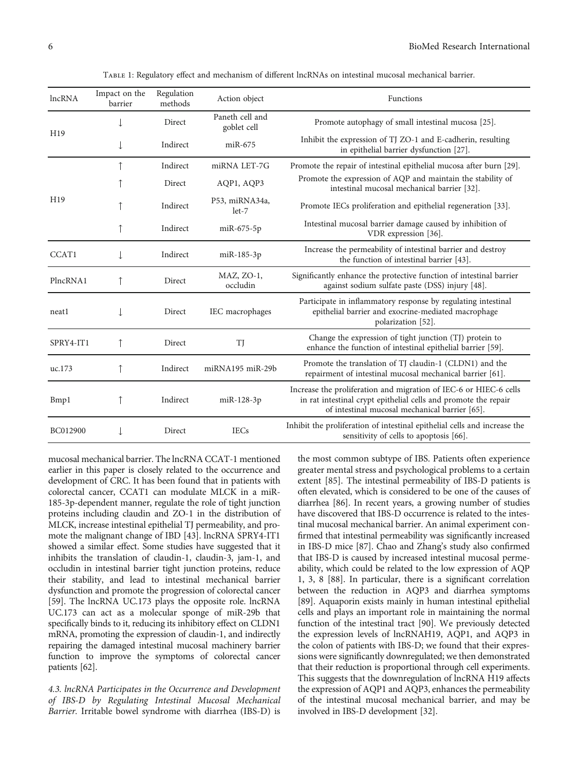<span id="page-5-0"></span>

| lncRNA          | Impact on the<br>barrier | Regulation<br>methods | Action object                  | Functions                                                                                                                                                                              |
|-----------------|--------------------------|-----------------------|--------------------------------|----------------------------------------------------------------------------------------------------------------------------------------------------------------------------------------|
| H19             |                          | Direct                | Paneth cell and<br>goblet cell | Promote autophagy of small intestinal mucosa [25].                                                                                                                                     |
|                 | $\downarrow$             | Indirect              | $miR-675$                      | Inhibit the expression of TJ ZO-1 and E-cadherin, resulting<br>in epithelial barrier dysfunction [27].                                                                                 |
| H <sub>19</sub> |                          | Indirect              | miRNA LET-7G                   | Promote the repair of intestinal epithelial mucosa after burn [29].                                                                                                                    |
|                 |                          | Direct                | AQP1, AQP3                     | Promote the expression of AQP and maintain the stability of<br>intestinal mucosal mechanical barrier [32].                                                                             |
|                 |                          | Indirect              | P53, miRNA34a,<br>$let-7$      | Promote IECs proliferation and epithelial regeneration [33].                                                                                                                           |
|                 |                          | Indirect              | $miR-675-5p$                   | Intestinal mucosal barrier damage caused by inhibition of<br>VDR expression [36].                                                                                                      |
| CCAT1           |                          | Indirect              | miR-185-3p                     | Increase the permeability of intestinal barrier and destroy<br>the function of intestinal barrier [43].                                                                                |
| PlncRNA1        |                          | Direct                | MAZ, ZO-1,<br>occludin         | Significantly enhance the protective function of intestinal barrier<br>against sodium sulfate paste (DSS) injury [48].                                                                 |
| neat1           |                          | Direct                | IEC macrophages                | Participate in inflammatory response by regulating intestinal<br>epithelial barrier and exocrine-mediated macrophage<br>polarization [52].                                             |
| SPRY4-IT1       | ↑                        | Direct                | TJ                             | Change the expression of tight junction (TJ) protein to<br>enhance the function of intestinal epithelial barrier [59].                                                                 |
| uc.173          | ↑                        | Indirect              | miRNA195 miR-29b               | Promote the translation of TJ claudin-1 (CLDN1) and the<br>repairment of intestinal mucosal mechanical barrier [61].                                                                   |
| Bmp1            |                          | Indirect              | miR-128-3p                     | Increase the proliferation and migration of IEC-6 or HIEC-6 cells<br>in rat intestinal crypt epithelial cells and promote the repair<br>of intestinal mucosal mechanical barrier [65]. |
| BC012900        |                          | Direct                | <b>IECs</b>                    | Inhibit the proliferation of intestinal epithelial cells and increase the<br>sensitivity of cells to apoptosis [66].                                                                   |

Table 1: Regulatory effect and mechanism of different lncRNAs on intestinal mucosal mechanical barrier.

mucosal mechanical barrier. The lncRNA CCAT-1 mentioned earlier in this paper is closely related to the occurrence and development of CRC. It has been found that in patients with colorectal cancer, CCAT1 can modulate MLCK in a miR-185-3p-dependent manner, regulate the role of tight junction proteins including claudin and ZO-1 in the distribution of MLCK, increase intestinal epithelial TJ permeability, and promote the malignant change of IBD [[43](#page-10-0)]. lncRNA SPRY4-IT1 showed a similar effect. Some studies have suggested that it inhibits the translation of claudin-1, claudin-3, jam-1, and occludin in intestinal barrier tight junction proteins, reduce their stability, and lead to intestinal mechanical barrier dysfunction and promote the progression of colorectal cancer [\[59\]](#page-10-0). The lncRNA UC.173 plays the opposite role. lncRNA UC.173 can act as a molecular sponge of miR-29b that specifically binds to it, reducing its inhibitory effect on CLDN1 mRNA, promoting the expression of claudin-1, and indirectly repairing the damaged intestinal mucosal machinery barrier function to improve the symptoms of colorectal cancer patients [\[62\]](#page-10-0).

4.3. lncRNA Participates in the Occurrence and Development of IBS-D by Regulating Intestinal Mucosal Mechanical Barrier. Irritable bowel syndrome with diarrhea (IBS-D) is

the most common subtype of IBS. Patients often experience greater mental stress and psychological problems to a certain extent [[85](#page-11-0)]. The intestinal permeability of IBS-D patients is often elevated, which is considered to be one of the causes of diarrhea [[86](#page-11-0)]. In recent years, a growing number of studies have discovered that IBS-D occurrence is related to the intestinal mucosal mechanical barrier. An animal experiment confirmed that intestinal permeability was significantly increased in IBS-D mice [[87](#page-11-0)]. Chao and Zhang's study also confirmed that IBS-D is caused by increased intestinal mucosal permeability, which could be related to the low expression of AQP 1, 3, 8 [\[88\]](#page-11-0). In particular, there is a significant correlation between the reduction in AQP3 and diarrhea symptoms [\[89\]](#page-11-0). Aquaporin exists mainly in human intestinal epithelial cells and plays an important role in maintaining the normal function of the intestinal tract [[90\]](#page-11-0). We previously detected the expression levels of lncRNAH19, AQP1, and AQP3 in the colon of patients with IBS-D; we found that their expressions were significantly downregulated; we then demonstrated that their reduction is proportional through cell experiments. This suggests that the downregulation of lncRNA H19 affects the expression of AQP1 and AQP3, enhances the permeability of the intestinal mucosal mechanical barrier, and may be involved in IBS-D development [\[32\]](#page-9-0).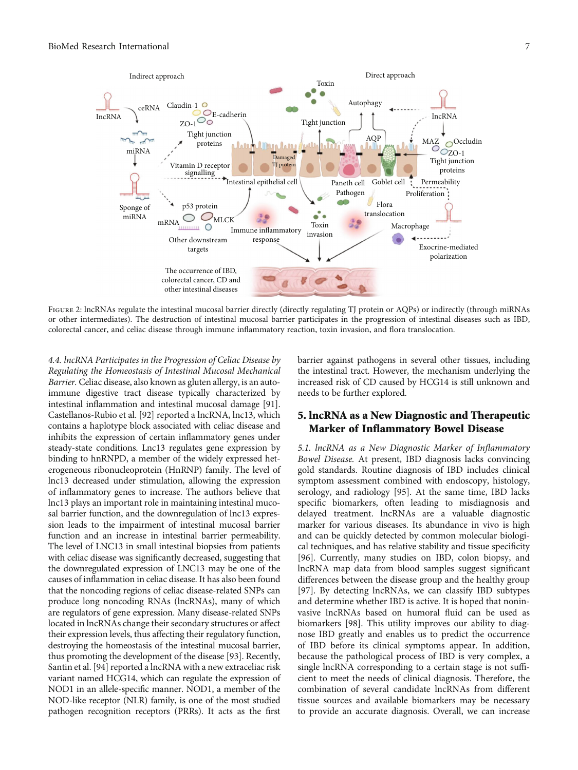<span id="page-6-0"></span>

Figure 2: lncRNAs regulate the intestinal mucosal barrier directly (directly regulating TJ protein or AQPs) or indirectly (through miRNAs or other intermediates). The destruction of intestinal mucosal barrier participates in the progression of intestinal diseases such as IBD, colorectal cancer, and celiac disease through immune inflammatory reaction, toxin invasion, and flora translocation.

4.4. lncRNA Participates in the Progression of Celiac Disease by Regulating the Homeostasis of Intestinal Mucosal Mechanical Barrier. Celiac disease, also known as gluten allergy, is an autoimmune digestive tract disease typically characterized by intestinal inflammation and intestinal mucosal damage [\[91](#page-11-0)]. Castellanos-Rubio et al. [[92\]](#page-11-0) reported a lncRNA, lnc13, which contains a haplotype block associated with celiac disease and inhibits the expression of certain inflammatory genes under steady-state conditions. Lnc13 regulates gene expression by binding to hnRNPD, a member of the widely expressed heterogeneous ribonucleoprotein (HnRNP) family. The level of lnc13 decreased under stimulation, allowing the expression of inflammatory genes to increase. The authors believe that lnc13 plays an important role in maintaining intestinal mucosal barrier function, and the downregulation of lnc13 expression leads to the impairment of intestinal mucosal barrier function and an increase in intestinal barrier permeability. The level of LNC13 in small intestinal biopsies from patients with celiac disease was significantly decreased, suggesting that the downregulated expression of LNC13 may be one of the causes of inflammation in celiac disease. It has also been found that the noncoding regions of celiac disease-related SNPs can produce long noncoding RNAs (lncRNAs), many of which are regulators of gene expression. Many disease-related SNPs located in lncRNAs change their secondary structures or affect their expression levels, thus affecting their regulatory function, destroying the homeostasis of the intestinal mucosal barrier, thus promoting the development of the disease [\[93\]](#page-11-0). Recently, Santin et al. [\[94](#page-11-0)] reported a lncRNA with a new extraceliac risk variant named HCG14, which can regulate the expression of NOD1 in an allele-specific manner. NOD1, a member of the NOD-like receptor (NLR) family, is one of the most studied pathogen recognition receptors (PRRs). It acts as the first

barrier against pathogens in several other tissues, including the intestinal tract. However, the mechanism underlying the increased risk of CD caused by HCG14 is still unknown and needs to be further explored.

## 5. lncRNA as a New Diagnostic and Therapeutic Marker of Inflammatory Bowel Disease

5.1. lncRNA as a New Diagnostic Marker of Inflammatory Bowel Disease. At present, IBD diagnosis lacks convincing gold standards. Routine diagnosis of IBD includes clinical symptom assessment combined with endoscopy, histology, serology, and radiology [\[95\]](#page-11-0). At the same time, IBD lacks specific biomarkers, often leading to misdiagnosis and delayed treatment. lncRNAs are a valuable diagnostic marker for various diseases. Its abundance in vivo is high and can be quickly detected by common molecular biological techniques, and has relative stability and tissue specificity [\[96\]](#page-11-0). Currently, many studies on IBD, colon biopsy, and lncRNA map data from blood samples suggest significant differences between the disease group and the healthy group [\[97\]](#page-11-0). By detecting lncRNAs, we can classify IBD subtypes and determine whether IBD is active. It is hoped that noninvasive lncRNAs based on humoral fluid can be used as biomarkers [[98](#page-11-0)]. This utility improves our ability to diagnose IBD greatly and enables us to predict the occurrence of IBD before its clinical symptoms appear. In addition, because the pathological process of IBD is very complex, a single lncRNA corresponding to a certain stage is not sufficient to meet the needs of clinical diagnosis. Therefore, the combination of several candidate lncRNAs from different tissue sources and available biomarkers may be necessary to provide an accurate diagnosis. Overall, we can increase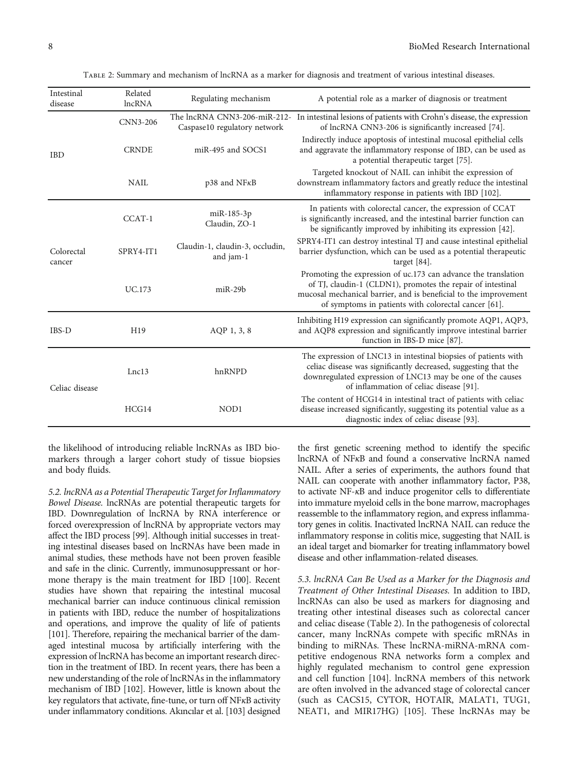| Intestinal<br>disease | Related<br><b>lncRNA</b> | Regulating mechanism                         | A potential role as a marker of diagnosis or treatment                                                                                                                                                                                                    |
|-----------------------|--------------------------|----------------------------------------------|-----------------------------------------------------------------------------------------------------------------------------------------------------------------------------------------------------------------------------------------------------------|
|                       | CNN3-206                 | Caspase10 regulatory network                 | The lncRNA CNN3-206-miR-212- In intestinal lesions of patients with Crohn's disease, the expression<br>of lncRNA CNN3-206 is significantly increased [74].                                                                                                |
| <b>IBD</b>            | <b>CRNDE</b>             | miR-495 and SOCS1                            | Indirectly induce apoptosis of intestinal mucosal epithelial cells<br>and aggravate the inflammatory response of IBD, can be used as<br>a potential therapeutic target [75].                                                                              |
|                       | <b>NAIL</b>              | $p38$ and NF $\kappa$ B                      | Targeted knockout of NAIL can inhibit the expression of<br>downstream inflammatory factors and greatly reduce the intestinal<br>inflammatory response in patients with IBD [102].                                                                         |
|                       | CCAT-1                   | miR-185-3p<br>Claudin, ZO-1                  | In patients with colorectal cancer, the expression of CCAT<br>is significantly increased, and the intestinal barrier function can<br>be significantly improved by inhibiting its expression [42].                                                         |
| Colorectal<br>cancer  | SPRY4-IT1                | Claudin-1, claudin-3, occludin,<br>and jam-1 | SPRY4-IT1 can destroy intestinal TJ and cause intestinal epithelial<br>barrier dysfunction, which can be used as a potential therapeutic<br>target $[84]$ .                                                                                               |
|                       | UC.173                   | $miR-29b$                                    | Promoting the expression of uc.173 can advance the translation<br>of TJ, claudin-1 (CLDN1), promotes the repair of intestinal<br>mucosal mechanical barrier, and is beneficial to the improvement<br>of symptoms in patients with colorectal cancer [61]. |
| IBS-D                 | H <sub>19</sub>          | AQP 1, 3, 8                                  | Inhibiting H19 expression can significantly promote AQP1, AQP3,<br>and AQP8 expression and significantly improve intestinal barrier<br>function in IBS-D mice [87].                                                                                       |
| Celiac disease        | Lnc13                    | hnRNPD                                       | The expression of LNC13 in intestinal biopsies of patients with<br>celiac disease was significantly decreased, suggesting that the<br>downregulated expression of LNC13 may be one of the causes<br>of inflammation of celiac disease [91].               |
|                       | HCG14                    | NOD1                                         | The content of HCG14 in intestinal tract of patients with celiac<br>disease increased significantly, suggesting its potential value as a<br>diagnostic index of celiac disease [93].                                                                      |

Table 2: Summary and mechanism of lncRNA as a marker for diagnosis and treatment of various intestinal diseases.

the likelihood of introducing reliable lncRNAs as IBD biomarkers through a larger cohort study of tissue biopsies and body fluids.

5.2. lncRNA as a Potential Therapeutic Target for Inflammatory Bowel Disease. lncRNAs are potential therapeutic targets for IBD. Downregulation of lncRNA by RNA interference or forced overexpression of lncRNA by appropriate vectors may affect the IBD process [[99](#page-11-0)]. Although initial successes in treating intestinal diseases based on lncRNAs have been made in animal studies, these methods have not been proven feasible and safe in the clinic. Currently, immunosuppressant or hormone therapy is the main treatment for IBD [\[100](#page-11-0)]. Recent studies have shown that repairing the intestinal mucosal mechanical barrier can induce continuous clinical remission in patients with IBD, reduce the number of hospitalizations and operations, and improve the quality of life of patients [\[101](#page-11-0)]. Therefore, repairing the mechanical barrier of the damaged intestinal mucosa by artificially interfering with the expression of lncRNA has become an important research direction in the treatment of IBD. In recent years, there has been a new understanding of the role of lncRNAs in the inflammatory mechanism of IBD [\[102](#page-11-0)]. However, little is known about the key regulators that activate, fine-tune, or turn off NF*κ*B activity under inflammatory conditions. Akıncılar et al. [\[103](#page-12-0)] designed

the first genetic screening method to identify the specific lncRNA of NF*κ*B and found a conservative lncRNA named NAIL. After a series of experiments, the authors found that NAIL can cooperate with another inflammatory factor, P38, to activate NF-*κ*B and induce progenitor cells to differentiate into immature myeloid cells in the bone marrow, macrophages reassemble to the inflammatory region, and express inflammatory genes in colitis. Inactivated lncRNA NAIL can reduce the inflammatory response in colitis mice, suggesting that NAIL is an ideal target and biomarker for treating inflammatory bowel disease and other inflammation-related diseases.

5.3. lncRNA Can Be Used as a Marker for the Diagnosis and Treatment of Other Intestinal Diseases. In addition to IBD, lncRNAs can also be used as markers for diagnosing and treating other intestinal diseases such as colorectal cancer and celiac disease (Table 2). In the pathogenesis of colorectal cancer, many lncRNAs compete with specific mRNAs in binding to miRNAs. These lncRNA-miRNA-mRNA competitive endogenous RNA networks form a complex and highly regulated mechanism to control gene expression and cell function [\[104](#page-12-0)]. lncRNA members of this network are often involved in the advanced stage of colorectal cancer (such as CACS15, CYTOR, HOTAIR, MALAT1, TUG1, NEAT1, and MIR17HG) [[105](#page-12-0)]. These lncRNAs may be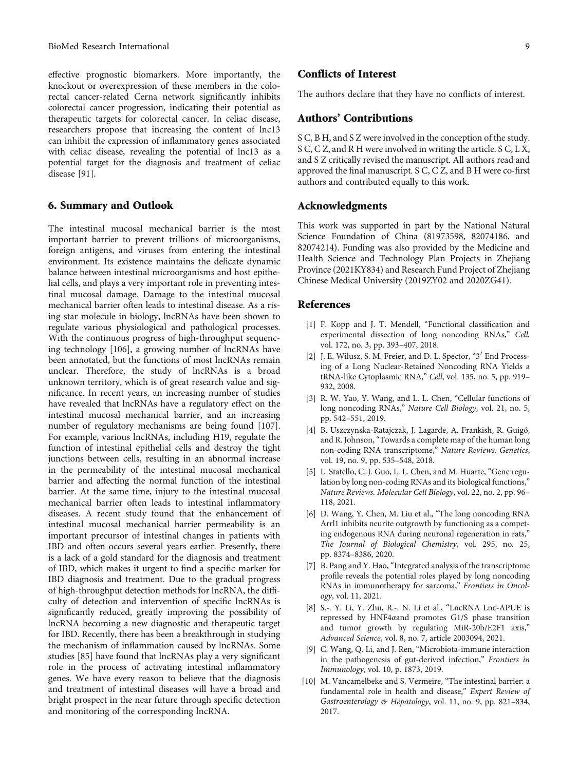<span id="page-8-0"></span>effective prognostic biomarkers. More importantly, the knockout or overexpression of these members in the colorectal cancer-related Cerna network significantly inhibits colorectal cancer progression, indicating their potential as therapeutic targets for colorectal cancer. In celiac disease, researchers propose that increasing the content of lnc13 can inhibit the expression of inflammatory genes associated with celiac disease, revealing the potential of lnc13 as a potential target for the diagnosis and treatment of celiac disease [\[91\]](#page-11-0).

## 6. Summary and Outlook

The intestinal mucosal mechanical barrier is the most important barrier to prevent trillions of microorganisms, foreign antigens, and viruses from entering the intestinal environment. Its existence maintains the delicate dynamic balance between intestinal microorganisms and host epithelial cells, and plays a very important role in preventing intestinal mucosal damage. Damage to the intestinal mucosal mechanical barrier often leads to intestinal disease. As a rising star molecule in biology, lncRNAs have been shown to regulate various physiological and pathological processes. With the continuous progress of high-throughput sequencing technology [\[106\]](#page-12-0), a growing number of lncRNAs have been annotated, but the functions of most lncRNAs remain unclear. Therefore, the study of lncRNAs is a broad unknown territory, which is of great research value and significance. In recent years, an increasing number of studies have revealed that lncRNAs have a regulatory effect on the intestinal mucosal mechanical barrier, and an increasing number of regulatory mechanisms are being found [\[107](#page-12-0)]. For example, various lncRNAs, including H19, regulate the function of intestinal epithelial cells and destroy the tight junctions between cells, resulting in an abnormal increase in the permeability of the intestinal mucosal mechanical barrier and affecting the normal function of the intestinal barrier. At the same time, injury to the intestinal mucosal mechanical barrier often leads to intestinal inflammatory diseases. A recent study found that the enhancement of intestinal mucosal mechanical barrier permeability is an important precursor of intestinal changes in patients with IBD and often occurs several years earlier. Presently, there is a lack of a gold standard for the diagnosis and treatment of IBD, which makes it urgent to find a specific marker for IBD diagnosis and treatment. Due to the gradual progress of high-throughput detection methods for lncRNA, the difficulty of detection and intervention of specific lncRNAs is significantly reduced, greatly improving the possibility of lncRNA becoming a new diagnostic and therapeutic target for IBD. Recently, there has been a breakthrough in studying the mechanism of inflammation caused by lncRNAs. Some studies [[85](#page-11-0)] have found that lncRNAs play a very significant role in the process of activating intestinal inflammatory genes. We have every reason to believe that the diagnosis and treatment of intestinal diseases will have a broad and bright prospect in the near future through specific detection and monitoring of the corresponding lncRNA.

## Conflicts of Interest

The authors declare that they have no conflicts of interest.

#### Authors' Contributions

S C, B H, and S Z were involved in the conception of the study. S C, C Z, and R H were involved in writing the article. S C, L X, and S Z critically revised the manuscript. All authors read and approved the final manuscript. S C, C Z, and B H were co-first authors and contributed equally to this work.

#### Acknowledgments

This work was supported in part by the National Natural Science Foundation of China (81973598, 82074186, and 82074214). Funding was also provided by the Medicine and Health Science and Technology Plan Projects in Zhejiang Province (2021KY834) and Research Fund Project of Zhejiang Chinese Medical University (2019ZY02 and 2020ZG41).

#### References

- [1] F. Kopp and J. T. Mendell, "Functional classification and experimental dissection of long noncoding RNAs," Cell, vol. 172, no. 3, pp. 393–407, 2018.
- [2] J. E. Wilusz, S. M. Freier, and D. L. Spector, "3<sup>'</sup> End Processing of a Long Nuclear-Retained Noncoding RNA Yields a tRNA-like Cytoplasmic RNA," Cell, vol. 135, no. 5, pp. 919– 932, 2008.
- [3] R. W. Yao, Y. Wang, and L. L. Chen, "Cellular functions of long noncoding RNAs," Nature Cell Biology, vol. 21, no. 5, pp. 542–551, 2019.
- [4] B. Uszczynska-Ratajczak, J. Lagarde, A. Frankish, R. Guigó, and R. Johnson, "Towards a complete map of the human long non-coding RNA transcriptome," Nature Reviews. Genetics, vol. 19, no. 9, pp. 535–548, 2018.
- [5] L. Statello, C. J. Guo, L. L. Chen, and M. Huarte, "Gene regulation by long non-coding RNAs and its biological functions," Nature Reviews. Molecular Cell Biology, vol. 22, no. 2, pp. 96– 118, 2021.
- [6] D. Wang, Y. Chen, M. Liu et al., "The long noncoding RNA Arrl1 inhibits neurite outgrowth by functioning as a competing endogenous RNA during neuronal regeneration in rats," The Journal of Biological Chemistry, vol. 295, no. 25, pp. 8374–8386, 2020.
- [7] B. Pang and Y. Hao, "Integrated analysis of the transcriptome profile reveals the potential roles played by long noncoding RNAs in immunotherapy for sarcoma," Frontiers in Oncology, vol. 11, 2021.
- [8] S.‐. Y. Li, Y. Zhu, R.‐. N. Li et al., "LncRNA Lnc-APUE is repressed by HNF4*α*and promotes G1/S phase transition and tumor growth by regulating MiR-20b/E2F1 axis," Advanced Science, vol. 8, no. 7, article 2003094, 2021.
- [9] C. Wang, Q. Li, and J. Ren, "Microbiota-immune interaction in the pathogenesis of gut-derived infection," Frontiers in Immunology, vol. 10, p. 1873, 2019.
- [10] M. Vancamelbeke and S. Vermeire, "The intestinal barrier: a fundamental role in health and disease," Expert Review of Gastroenterology & Hepatology, vol. 11, no. 9, pp. 821–834, 2017.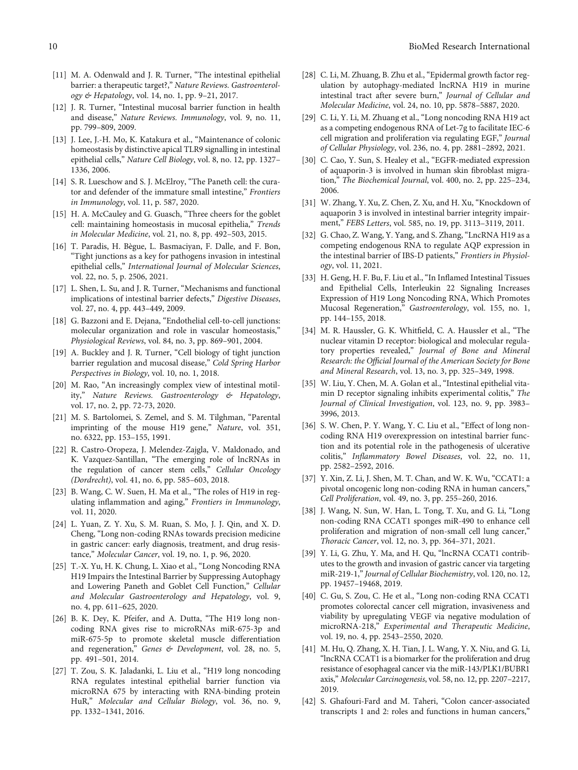- <span id="page-9-0"></span>[11] M. A. Odenwald and J. R. Turner, "The intestinal epithelial barrier: a therapeutic target?," Nature Reviews. Gastroenterology & Hepatology, vol. 14, no. 1, pp. 9–21, 2017.
- [12] J. R. Turner, "Intestinal mucosal barrier function in health and disease," Nature Reviews. Immunology, vol. 9, no. 11, pp. 799–809, 2009.
- [13] J. Lee, J.-H. Mo, K. Katakura et al., "Maintenance of colonic homeostasis by distinctive apical TLR9 signalling in intestinal epithelial cells," Nature Cell Biology, vol. 8, no. 12, pp. 1327– 1336, 2006.
- [14] S. R. Lueschow and S. J. McElroy, "The Paneth cell: the curator and defender of the immature small intestine," Frontiers in Immunology, vol. 11, p. 587, 2020.
- [15] H. A. McCauley and G. Guasch, "Three cheers for the goblet cell: maintaining homeostasis in mucosal epithelia," Trends in Molecular Medicine, vol. 21, no. 8, pp. 492–503, 2015.
- [16] T. Paradis, H. Bègue, L. Basmaciyan, F. Dalle, and F. Bon, "Tight junctions as a key for pathogens invasion in intestinal epithelial cells," International Journal of Molecular Sciences, vol. 22, no. 5, p. 2506, 2021.
- [17] L. Shen, L. Su, and J. R. Turner, "Mechanisms and functional implications of intestinal barrier defects," Digestive Diseases, vol. 27, no. 4, pp. 443–449, 2009.
- [18] G. Bazzoni and E. Dejana, "Endothelial cell-to-cell junctions: molecular organization and role in vascular homeostasis," Physiological Reviews, vol. 84, no. 3, pp. 869–901, 2004.
- [19] A. Buckley and J. R. Turner, "Cell biology of tight junction barrier regulation and mucosal disease," Cold Spring Harbor Perspectives in Biology, vol. 10, no. 1, 2018.
- [20] M. Rao, "An increasingly complex view of intestinal motility," Nature Reviews. Gastroenterology & Hepatology, vol. 17, no. 2, pp. 72-73, 2020.
- [21] M. S. Bartolomei, S. Zemel, and S. M. Tilghman, "Parental imprinting of the mouse H19 gene," Nature, vol. 351, no. 6322, pp. 153–155, 1991.
- [22] R. Castro-Oropeza, J. Melendez-Zajgla, V. Maldonado, and K. Vazquez-Santillan, "The emerging role of lncRNAs in the regulation of cancer stem cells," Cellular Oncology (Dordrecht), vol. 41, no. 6, pp. 585–603, 2018.
- [23] B. Wang, C. W. Suen, H. Ma et al., "The roles of H19 in regulating inflammation and aging," Frontiers in Immunology, vol. 11, 2020.
- [24] L. Yuan, Z. Y. Xu, S. M. Ruan, S. Mo, J. J. Qin, and X. D. Cheng, "Long non-coding RNAs towards precision medicine in gastric cancer: early diagnosis, treatment, and drug resistance," Molecular Cancer, vol. 19, no. 1, p. 96, 2020.
- [25] T.-X. Yu, H. K. Chung, L. Xiao et al., "Long Noncoding RNA H19 Impairs the Intestinal Barrier by Suppressing Autophagy and Lowering Paneth and Goblet Cell Function," Cellular and Molecular Gastroenterology and Hepatology, vol. 9, no. 4, pp. 611–625, 2020.
- [26] B. K. Dey, K. Pfeifer, and A. Dutta, "The H19 long noncoding RNA gives rise to microRNAs miR-675-3p and miR-675-5p to promote skeletal muscle differentiation and regeneration," Genes & Development, vol. 28, no. 5, pp. 491–501, 2014.
- [27] T. Zou, S. K. Jaladanki, L. Liu et al., "H19 long noncoding RNA regulates intestinal epithelial barrier function via microRNA 675 by interacting with RNA-binding protein HuR," Molecular and Cellular Biology, vol. 36, no. 9, pp. 1332–1341, 2016.
- [28] C. Li, M. Zhuang, B. Zhu et al., "Epidermal growth factor regulation by autophagy-mediated lncRNA H19 in murine intestinal tract after severe burn," Journal of Cellular and Molecular Medicine, vol. 24, no. 10, pp. 5878–5887, 2020.
- [29] C. Li, Y. Li, M. Zhuang et al., "Long noncoding RNA H19 act as a competing endogenous RNA of Let-7g to facilitate IEC-6 cell migration and proliferation via regulating EGF," Journal of Cellular Physiology, vol. 236, no. 4, pp. 2881–2892, 2021.
- [30] C. Cao, Y. Sun, S. Healey et al., "EGFR-mediated expression of aquaporin-3 is involved in human skin fibroblast migration," The Biochemical Journal, vol. 400, no. 2, pp. 225–234, 2006.
- [31] W. Zhang, Y. Xu, Z. Chen, Z. Xu, and H. Xu, "Knockdown of aquaporin 3 is involved in intestinal barrier integrity impairment," FEBS Letters, vol. 585, no. 19, pp. 3113–3119, 2011.
- [32] G. Chao, Z. Wang, Y. Yang, and S. Zhang, "LncRNA H19 as a competing endogenous RNA to regulate AQP expression in the intestinal barrier of IBS-D patients," Frontiers in Physiology, vol. 11, 2021.
- [33] H. Geng, H. F. Bu, F. Liu et al., "In Inflamed Intestinal Tissues and Epithelial Cells, Interleukin 22 Signaling Increases Expression of H19 Long Noncoding RNA, Which Promotes Mucosal Regeneration," Gastroenterology, vol. 155, no. 1, pp. 144–155, 2018.
- [34] M. R. Haussler, G. K. Whitfield, C. A. Haussler et al., "The nuclear vitamin D receptor: biological and molecular regulatory properties revealed," Journal of Bone and Mineral Research: the Official Journal of the American Society for Bone and Mineral Research, vol. 13, no. 3, pp. 325–349, 1998.
- [35] W. Liu, Y. Chen, M. A. Golan et al., "Intestinal epithelial vitamin D receptor signaling inhibits experimental colitis," The Journal of Clinical Investigation, vol. 123, no. 9, pp. 3983– 3996, 2013.
- [36] S. W. Chen, P. Y. Wang, Y. C. Liu et al., "Effect of long noncoding RNA H19 overexpression on intestinal barrier function and its potential role in the pathogenesis of ulcerative colitis," Inflammatory Bowel Diseases, vol. 22, no. 11, pp. 2582–2592, 2016.
- [37] Y. Xin, Z. Li, J. Shen, M. T. Chan, and W. K. Wu, "CCAT1: a pivotal oncogenic long non-coding RNA in human cancers," Cell Proliferation, vol. 49, no. 3, pp. 255–260, 2016.
- [38] J. Wang, N. Sun, W. Han, L. Tong, T. Xu, and G. Li, "Long non-coding RNA CCAT1 sponges miR-490 to enhance cell proliferation and migration of non-small cell lung cancer," Thoracic Cancer, vol. 12, no. 3, pp. 364–371, 2021.
- [39] Y. Li, G. Zhu, Y. Ma, and H. Qu, "lncRNA CCAT1 contributes to the growth and invasion of gastric cancer via targeting miR-219-1," Journal of Cellular Biochemistry, vol. 120, no. 12, pp. 19457–19468, 2019.
- [40] C. Gu, S. Zou, C. He et al., "Long non-coding RNA CCAT1 promotes colorectal cancer cell migration, invasiveness and viability by upregulating VEGF via negative modulation of microRNA-218," Experimental and Therapeutic Medicine, vol. 19, no. 4, pp. 2543–2550, 2020.
- [41] M. Hu, Q. Zhang, X. H. Tian, J. L. Wang, Y. X. Niu, and G. Li, "lncRNA CCAT1 is a biomarker for the proliferation and drug resistance of esophageal cancer via the miR-143/PLK1/BUBR1 axis," Molecular Carcinogenesis, vol. 58, no. 12, pp. 2207–2217, 2019.
- [42] S. Ghafouri-Fard and M. Taheri, "Colon cancer-associated transcripts 1 and 2: roles and functions in human cancers,"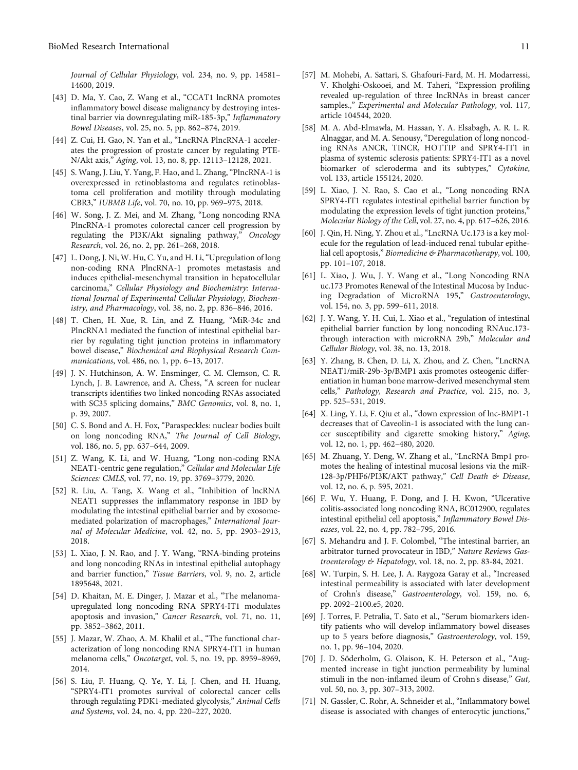<span id="page-10-0"></span>Journal of Cellular Physiology, vol. 234, no. 9, pp. 14581– 14600, 2019.

- [43] D. Ma, Y. Cao, Z. Wang et al., "CCAT1 lncRNA promotes inflammatory bowel disease malignancy by destroying intestinal barrier via downregulating miR-185-3p," Inflammatory Bowel Diseases, vol. 25, no. 5, pp. 862–874, 2019.
- [44] Z. Cui, H. Gao, N. Yan et al., "LncRNA PlncRNA-1 accelerates the progression of prostate cancer by regulating PTE-N/Akt axis," Aging, vol. 13, no. 8, pp. 12113–12128, 2021.
- [45] S. Wang, J. Liu, Y. Yang, F. Hao, and L. Zhang, "PlncRNA-1 is overexpressed in retinoblastoma and regulates retinoblastoma cell proliferation and motility through modulating CBR3," IUBMB Life, vol. 70, no. 10, pp. 969–975, 2018.
- [46] W. Song, J. Z. Mei, and M. Zhang, "Long noncoding RNA PlncRNA-1 promotes colorectal cancer cell progression by regulating the PI3K/Akt signaling pathway," Oncology Research, vol. 26, no. 2, pp. 261–268, 2018.
- [47] L. Dong, J. Ni, W. Hu, C. Yu, and H. Li, "Upregulation of long non-coding RNA PlncRNA-1 promotes metastasis and induces epithelial-mesenchymal transition in hepatocellular carcinoma," Cellular Physiology and Biochemistry: International Journal of Experimental Cellular Physiology, Biochemistry, and Pharmacology, vol. 38, no. 2, pp. 836–846, 2016.
- [48] T. Chen, H. Xue, R. Lin, and Z. Huang, "MiR-34c and PlncRNA1 mediated the function of intestinal epithelial barrier by regulating tight junction proteins in inflammatory bowel disease," Biochemical and Biophysical Research Communications, vol. 486, no. 1, pp. 6–13, 2017.
- [49] J. N. Hutchinson, A. W. Ensminger, C. M. Clemson, C. R. Lynch, J. B. Lawrence, and A. Chess, "A screen for nuclear transcripts identifies two linked noncoding RNAs associated with SC35 splicing domains," BMC Genomics, vol. 8, no. 1, p. 39, 2007.
- [50] C. S. Bond and A. H. Fox, "Paraspeckles: nuclear bodies built on long noncoding RNA," The Journal of Cell Biology, vol. 186, no. 5, pp. 637–644, 2009.
- [51] Z. Wang, K. Li, and W. Huang, "Long non-coding RNA NEAT1-centric gene regulation," Cellular and Molecular Life Sciences: CMLS, vol. 77, no. 19, pp. 3769–3779, 2020.
- [52] R. Liu, A. Tang, X. Wang et al., "Inhibition of lncRNA NEAT1 suppresses the inflammatory response in IBD by modulating the intestinal epithelial barrier and by exosomemediated polarization of macrophages," International Journal of Molecular Medicine, vol. 42, no. 5, pp. 2903–2913, 2018.
- [53] L. Xiao, J. N. Rao, and J. Y. Wang, "RNA-binding proteins and long noncoding RNAs in intestinal epithelial autophagy and barrier function," Tissue Barriers, vol. 9, no. 2, article 1895648, 2021.
- [54] D. Khaitan, M. E. Dinger, J. Mazar et al., "The melanomaupregulated long noncoding RNA SPRY4-IT1 modulates apoptosis and invasion," Cancer Research, vol. 71, no. 11, pp. 3852–3862, 2011.
- [55] J. Mazar, W. Zhao, A. M. Khalil et al., "The functional characterization of long noncoding RNA SPRY4-IT1 in human melanoma cells," Oncotarget, vol. 5, no. 19, pp. 8959–8969, 2014.
- [56] S. Liu, F. Huang, Q. Ye, Y. Li, J. Chen, and H. Huang, "SPRY4-IT1 promotes survival of colorectal cancer cells through regulating PDK1-mediated glycolysis," Animal Cells and Systems, vol. 24, no. 4, pp. 220–227, 2020.
- [57] M. Mohebi, A. Sattari, S. Ghafouri-Fard, M. H. Modarressi, V. Kholghi-Oskooei, and M. Taheri, "Expression profiling revealed up-regulation of three lncRNAs in breast cancer samples.," Experimental and Molecular Pathology, vol. 117, article 104544, 2020.
- [58] M. A. Abd-Elmawla, M. Hassan, Y. A. Elsabagh, A. R. L. R. Alnaggar, and M. A. Senousy, "Deregulation of long noncoding RNAs ANCR, TINCR, HOTTIP and SPRY4-IT1 in plasma of systemic sclerosis patients: SPRY4-IT1 as a novel biomarker of scleroderma and its subtypes," Cytokine, vol. 133, article 155124, 2020.
- [59] L. Xiao, J. N. Rao, S. Cao et al., "Long noncoding RNA SPRY4-IT1 regulates intestinal epithelial barrier function by modulating the expression levels of tight junction proteins," Molecular Biology of the Cell, vol. 27, no. 4, pp. 617–626, 2016.
- [60] J. Qin, H. Ning, Y. Zhou et al., "LncRNA Uc.173 is a key molecule for the regulation of lead-induced renal tubular epithelial cell apoptosis," Biomedicine & Pharmacotherapy, vol. 100, pp. 101–107, 2018.
- [61] L. Xiao, J. Wu, J. Y. Wang et al., "Long Noncoding RNA uc.173 Promotes Renewal of the Intestinal Mucosa by Inducing Degradation of MicroRNA 195," Gastroenterology, vol. 154, no. 3, pp. 599–611, 2018.
- [62] J. Y. Wang, Y. H. Cui, L. Xiao et al., "regulation of intestinal epithelial barrier function by long noncoding RNAuc.173 through interaction with microRNA 29b," Molecular and Cellular Biology, vol. 38, no. 13, 2018.
- [63] Y. Zhang, B. Chen, D. Li, X. Zhou, and Z. Chen, "LncRNA NEAT1/miR-29b-3p/BMP1 axis promotes osteogenic differentiation in human bone marrow-derived mesenchymal stem cells," Pathology, Research and Practice, vol. 215, no. 3, pp. 525–531, 2019.
- [64] X. Ling, Y. Li, F. Qiu et al., "down expression of lnc-BMP1-1 decreases that of Caveolin-1 is associated with the lung cancer susceptibility and cigarette smoking history," Aging, vol. 12, no. 1, pp. 462–480, 2020.
- [65] M. Zhuang, Y. Deng, W. Zhang et al., "LncRNA Bmp1 promotes the healing of intestinal mucosal lesions via the miR-128-3p/PHF6/PI3K/AKT pathway," Cell Death & Disease, vol. 12, no. 6, p. 595, 2021.
- [66] F. Wu, Y. Huang, F. Dong, and J. H. Kwon, "Ulcerative colitis-associated long noncoding RNA, BC012900, regulates intestinal epithelial cell apoptosis," Inflammatory Bowel Diseases, vol. 22, no. 4, pp. 782–795, 2016.
- [67] S. Mehandru and J. F. Colombel, "The intestinal barrier, an arbitrator turned provocateur in IBD," Nature Reviews Gastroenterology & Hepatology, vol. 18, no. 2, pp. 83-84, 2021.
- [68] W. Turpin, S. H. Lee, J. A. Raygoza Garay et al., "Increased intestinal permeability is associated with later development of Crohn's disease," Gastroenterology, vol. 159, no. 6, pp. 2092–2100.e5, 2020.
- [69] J. Torres, F. Petralia, T. Sato et al., "Serum biomarkers identify patients who will develop inflammatory bowel diseases up to 5 years before diagnosis," Gastroenterology, vol. 159, no. 1, pp. 96–104, 2020.
- [70] J. D. Söderholm, G. Olaison, K. H. Peterson et al., "Augmented increase in tight junction permeability by luminal stimuli in the non-inflamed ileum of Crohn's disease," Gut, vol. 50, no. 3, pp. 307–313, 2002.
- [71] N. Gassler, C. Rohr, A. Schneider et al., "Inflammatory bowel disease is associated with changes of enterocytic junctions,"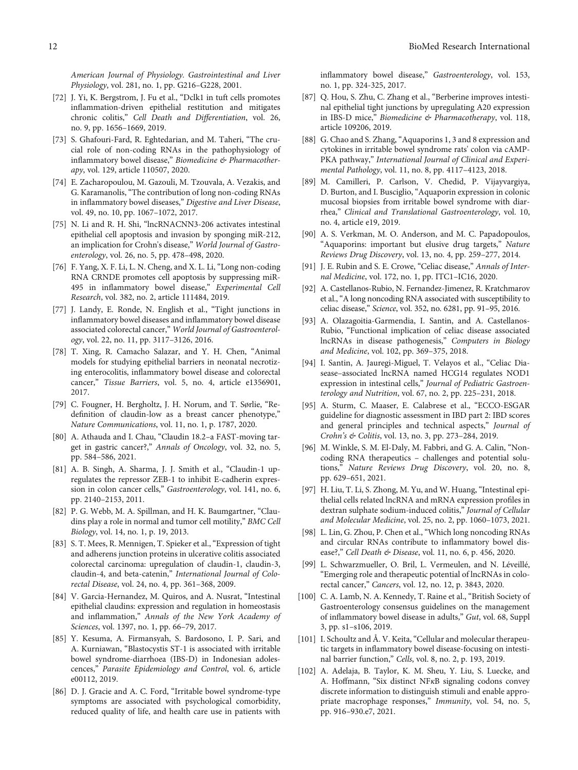<span id="page-11-0"></span>American Journal of Physiology. Gastrointestinal and Liver Physiology, vol. 281, no. 1, pp. G216–G228, 2001.

- [72] J. Yi, K. Bergstrom, J. Fu et al., "Dclk1 in tuft cells promotes inflammation-driven epithelial restitution and mitigates chronic colitis," Cell Death and Differentiation, vol. 26, no. 9, pp. 1656–1669, 2019.
- [73] S. Ghafouri-Fard, R. Eghtedarian, and M. Taheri, "The crucial role of non-coding RNAs in the pathophysiology of inflammatory bowel disease," Biomedicine & Pharmacotherapy, vol. 129, article 110507, 2020.
- [74] E. Zacharopoulou, M. Gazouli, M. Tzouvala, A. Vezakis, and G. Karamanolis, "The contribution of long non-coding RNAs in inflammatory bowel diseases," Digestive and Liver Disease, vol. 49, no. 10, pp. 1067–1072, 2017.
- [75] N. Li and R. H. Shi, "lncRNACNN3-206 activates intestinal epithelial cell apoptosis and invasion by sponging miR-212, an implication for Crohn's disease," World Journal of Gastroenterology, vol. 26, no. 5, pp. 478–498, 2020.
- [76] F. Yang, X. F. Li, L. N. Cheng, and X. L. Li, "Long non-coding RNA CRNDE promotes cell apoptosis by suppressing miR-495 in inflammatory bowel disease," Experimental Cell Research, vol. 382, no. 2, article 111484, 2019.
- [77] J. Landy, E. Ronde, N. English et al., "Tight junctions in inflammatory bowel diseases and inflammatory bowel disease associated colorectal cancer," World Journal of Gastroenterology, vol. 22, no. 11, pp. 3117–3126, 2016.
- [78] T. Xing, R. Camacho Salazar, and Y. H. Chen, "Animal models for studying epithelial barriers in neonatal necrotizing enterocolitis, inflammatory bowel disease and colorectal cancer," Tissue Barriers, vol. 5, no. 4, article e1356901, 2017.
- [79] C. Fougner, H. Bergholtz, J. H. Norum, and T. Sørlie, "Redefinition of claudin-low as a breast cancer phenotype," Nature Communications, vol. 11, no. 1, p. 1787, 2020.
- [80] A. Athauda and I. Chau, "Claudin 18.2–a FAST-moving target in gastric cancer?," Annals of Oncology, vol. 32, no. 5, pp. 584–586, 2021.
- [81] A. B. Singh, A. Sharma, J. J. Smith et al., "Claudin-1 upregulates the repressor ZEB-1 to inhibit E-cadherin expression in colon cancer cells," Gastroenterology, vol. 141, no. 6, pp. 2140–2153, 2011.
- [82] P. G. Webb, M. A. Spillman, and H. K. Baumgartner, "Claudins play a role in normal and tumor cell motility," BMC Cell Biology, vol. 14, no. 1, p. 19, 2013.
- [83] S. T. Mees, R. Mennigen, T. Spieker et al., "Expression of tight and adherens junction proteins in ulcerative colitis associated colorectal carcinoma: upregulation of claudin-1, claudin-3, claudin-4, and beta-catenin," International Journal of Colorectal Disease, vol. 24, no. 4, pp. 361–368, 2009.
- [84] V. Garcia-Hernandez, M. Quiros, and A. Nusrat, "Intestinal epithelial claudins: expression and regulation in homeostasis and inflammation," Annals of the New York Academy of Sciences, vol. 1397, no. 1, pp. 66–79, 2017.
- [85] Y. Kesuma, A. Firmansyah, S. Bardosono, I. P. Sari, and A. Kurniawan, "Blastocystis ST-1 is associated with irritable bowel syndrome-diarrhoea (IBS-D) in Indonesian adolescences," Parasite Epidemiology and Control, vol. 6, article e00112, 2019.
- [86] D. J. Gracie and A. C. Ford, "Irritable bowel syndrome-type symptoms are associated with psychological comorbidity, reduced quality of life, and health care use in patients with

inflammatory bowel disease," Gastroenterology, vol. 153, no. 1, pp. 324-325, 2017.

- [87] Q. Hou, S. Zhu, C. Zhang et al., "Berberine improves intestinal epithelial tight junctions by upregulating A20 expression in IBS-D mice," Biomedicine & Pharmacotherapy, vol. 118, article 109206, 2019.
- [88] G. Chao and S. Zhang, "Aquaporins 1, 3 and 8 expression and cytokines in irritable bowel syndrome rats' colon via cAMP-PKA pathway," International Journal of Clinical and Experimental Pathology, vol. 11, no. 8, pp. 4117–4123, 2018.
- [89] M. Camilleri, P. Carlson, V. Chedid, P. Vijayvargiya, D. Burton, and I. Busciglio, "Aquaporin expression in colonic mucosal biopsies from irritable bowel syndrome with diarrhea," Clinical and Translational Gastroenterology, vol. 10, no. 4, article e19, 2019.
- [90] A. S. Verkman, M. O. Anderson, and M. C. Papadopoulos, "Aquaporins: important but elusive drug targets," Nature Reviews Drug Discovery, vol. 13, no. 4, pp. 259–277, 2014.
- [91] J. E. Rubin and S. E. Crowe, "Celiac disease," Annals of Internal Medicine, vol. 172, no. 1, pp. ITC1–IC16, 2020.
- [92] A. Castellanos-Rubio, N. Fernandez-Jimenez, R. Kratchmarov et al.,"A long noncoding RNA associated with susceptibility to celiac disease," Science, vol. 352, no. 6281, pp. 91–95, 2016.
- [93] A. Olazagoitia-Garmendia, I. Santin, and A. Castellanos-Rubio, "Functional implication of celiac disease associated lncRNAs in disease pathogenesis," Computers in Biology and Medicine, vol. 102, pp. 369–375, 2018.
- [94] I. Santin, A. Jauregi-Miguel, T. Velayos et al., "Celiac Diasease–associated lncRNA named HCG14 regulates NOD1 expression in intestinal cells," Journal of Pediatric Gastroenterology and Nutrition, vol. 67, no. 2, pp. 225–231, 2018.
- [95] A. Sturm, C. Maaser, E. Calabrese et al., "ECCO-ESGAR guideline for diagnostic assessment in IBD part 2: IBD scores and general principles and technical aspects," Journal of Crohn's & Colitis, vol. 13, no. 3, pp. 273–284, 2019.
- [96] M. Winkle, S. M. El-Daly, M. Fabbri, and G. A. Calin, "Noncoding RNA therapeutics – challenges and potential solutions," Nature Reviews Drug Discovery, vol. 20, no. 8, pp. 629–651, 2021.
- [97] H. Liu, T. Li, S. Zhong, M. Yu, and W. Huang, "Intestinal epithelial cells related lncRNA and mRNA expression profiles in dextran sulphate sodium-induced colitis," Journal of Cellular and Molecular Medicine, vol. 25, no. 2, pp. 1060–1073, 2021.
- [98] L. Lin, G. Zhou, P. Chen et al., "Which long noncoding RNAs and circular RNAs contribute to inflammatory bowel disease?," Cell Death & Disease, vol. 11, no. 6, p. 456, 2020.
- [99] L. Schwarzmueller, O. Bril, L. Vermeulen, and N. Léveillé, "Emerging role and therapeutic potential of lncRNAs in colorectal cancer," Cancers, vol. 12, no. 12, p. 3843, 2020.
- [100] C. A. Lamb, N. A. Kennedy, T. Raine et al., "British Society of Gastroenterology consensus guidelines on the management of inflammatory bowel disease in adults," Gut, vol. 68, Suppl 3, pp. s1–s106, 2019.
- [101] I. Schoultz and Å. V. Keita, "Cellular and molecular therapeutic targets in inflammatory bowel disease-focusing on intestinal barrier function," Cells, vol. 8, no. 2, p. 193, 2019.
- [102] A. Adelaja, B. Taylor, K. M. Sheu, Y. Liu, S. Luecke, and A. Hoffmann, "Six distinct NF*κ*B signaling codons convey discrete information to distinguish stimuli and enable appropriate macrophage responses," Immunity, vol. 54, no. 5, pp. 916–930.e7, 2021.